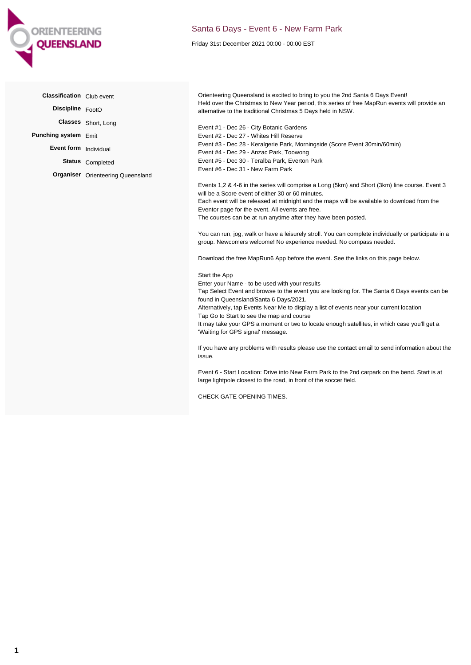

## Santa 6 Days - Event 6 - New Farm Park

Friday 31st December 2021 00:00 - 00:00 EST

| Classification Club event |                                          | Orienteering Queensland is excited to bring to you the 2nd Santa 6 Days Event!                                                                                                                                                                                                                                                                                                                                                                                                                                                                                                                                                                                                                                                                                                                                                                                                                                                                                                                                                                                                                                                                                                                                                                       |
|---------------------------|------------------------------------------|------------------------------------------------------------------------------------------------------------------------------------------------------------------------------------------------------------------------------------------------------------------------------------------------------------------------------------------------------------------------------------------------------------------------------------------------------------------------------------------------------------------------------------------------------------------------------------------------------------------------------------------------------------------------------------------------------------------------------------------------------------------------------------------------------------------------------------------------------------------------------------------------------------------------------------------------------------------------------------------------------------------------------------------------------------------------------------------------------------------------------------------------------------------------------------------------------------------------------------------------------|
| Discipline FootO          |                                          | Held over the Christmas to New Year period, this series of free MapRun events will provide an<br>alternative to the traditional Christmas 5 Days held in NSW.                                                                                                                                                                                                                                                                                                                                                                                                                                                                                                                                                                                                                                                                                                                                                                                                                                                                                                                                                                                                                                                                                        |
|                           | Classes Short, Long                      | Event #1 - Dec 26 - City Botanic Gardens                                                                                                                                                                                                                                                                                                                                                                                                                                                                                                                                                                                                                                                                                                                                                                                                                                                                                                                                                                                                                                                                                                                                                                                                             |
| Punching system Emit      |                                          | Event #2 - Dec 27 - Whites Hill Reserve                                                                                                                                                                                                                                                                                                                                                                                                                                                                                                                                                                                                                                                                                                                                                                                                                                                                                                                                                                                                                                                                                                                                                                                                              |
| Event form Individual     |                                          | Event #3 - Dec 28 - Keralgerie Park, Morningside (Score Event 30min/60min)<br>Event #4 - Dec 29 - Anzac Park, Toowong                                                                                                                                                                                                                                                                                                                                                                                                                                                                                                                                                                                                                                                                                                                                                                                                                                                                                                                                                                                                                                                                                                                                |
|                           | Status Completed                         | Event #5 - Dec 30 - Teralba Park, Everton Park                                                                                                                                                                                                                                                                                                                                                                                                                                                                                                                                                                                                                                                                                                                                                                                                                                                                                                                                                                                                                                                                                                                                                                                                       |
|                           | <b>Organiser</b> Orienteering Queensland | Event #6 - Dec 31 - New Farm Park                                                                                                                                                                                                                                                                                                                                                                                                                                                                                                                                                                                                                                                                                                                                                                                                                                                                                                                                                                                                                                                                                                                                                                                                                    |
|                           |                                          | Events 1,2 & 4-6 in the series will comprise a Long (5km) and Short (3km) line course. Event 3<br>will be a Score event of either 30 or 60 minutes.<br>Each event will be released at midnight and the maps will be available to download from the<br>Eventor page for the event. All events are free.<br>The courses can be at run anytime after they have been posted.<br>You can run, jog, walk or have a leisurely stroll. You can complete individually or participate in a<br>group. Newcomers welcome! No experience needed. No compass needed.<br>Download the free MapRun6 App before the event. See the links on this page below.<br>Start the App<br>Enter your Name - to be used with your results<br>Tap Select Event and browse to the event you are looking for. The Santa 6 Days events can be<br>found in Queensland/Santa 6 Days/2021.<br>Alternatively, tap Events Near Me to display a list of events near your current location<br>Tap Go to Start to see the map and course<br>It may take your GPS a moment or two to locate enough satellites, in which case you'll get a<br>'Waiting for GPS signal' message.<br>If you have any problems with results please use the contact email to send information about the<br>issue. |
|                           |                                          | Event 6 - Start Location: Drive into New Farm Park to the 2nd carpark on the bend. Start is at<br>large lightpole closest to the road, in front of the soccer field.                                                                                                                                                                                                                                                                                                                                                                                                                                                                                                                                                                                                                                                                                                                                                                                                                                                                                                                                                                                                                                                                                 |

CHECK GATE OPENING TIMES.